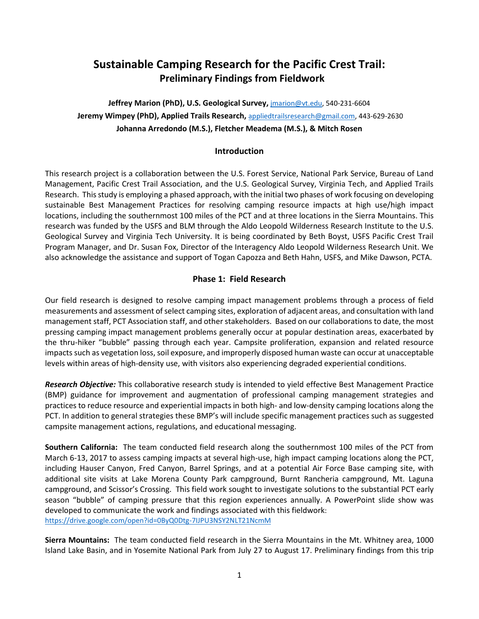# **Sustainable Camping Research for the Pacific Crest Trail: Preliminary Findings from Fieldwork**

**Jeffrey Marion (PhD), U.S. Geological Survey,** [jmarion@vt.edu,](mailto:jmarion@vt.edu) 540-231-6604 **Jeremy Wimpey (PhD), Applied Trails Research,** [appliedtrailsresearch@gmail.com,](mailto:appliedtrailsresearch@gmail.com) 443-629-2630 **Johanna Arredondo (M.S.), Fletcher Meadema (M.S.), & Mitch Rosen**

# **Introduction**

This research project is a collaboration between the U.S. Forest Service, National Park Service, Bureau of Land Management, Pacific Crest Trail Association, and the U.S. Geological Survey, Virginia Tech, and Applied Trails Research. This study is employing a phased approach, with the initial two phases of work focusing on developing sustainable Best Management Practices for resolving camping resource impacts at high use/high impact locations, including the southernmost 100 miles of the PCT and at three locations in the Sierra Mountains. This research was funded by the USFS and BLM through the Aldo Leopold Wilderness Research Institute to the U.S. Geological Survey and Virginia Tech University. It is being coordinated by Beth Boyst, USFS Pacific Crest Trail Program Manager, and Dr. Susan Fox, Director of the Interagency Aldo Leopold Wilderness Research Unit. We also acknowledge the assistance and support of Togan Capozza and Beth Hahn, USFS, and Mike Dawson, PCTA.

## **Phase 1: Field Research**

Our field research is designed to resolve camping impact management problems through a process of field measurements and assessment of select camping sites, exploration of adjacent areas, and consultation with land management staff, PCT Association staff, and other stakeholders. Based on our collaborations to date, the most pressing camping impact management problems generally occur at popular destination areas, exacerbated by the thru-hiker "bubble" passing through each year. Campsite proliferation, expansion and related resource impacts such as vegetation loss, soil exposure, and improperly disposed human waste can occur at unacceptable levels within areas of high-density use, with visitors also experiencing degraded experiential conditions.

*Research Objective:* This collaborative research study is intended to yield effective Best Management Practice (BMP) guidance for improvement and augmentation of professional camping management strategies and practices to reduce resource and experiential impacts in both high- and low-density camping locations along the PCT. In addition to general strategies these BMP's will include specific management practices such as suggested campsite management actions, regulations, and educational messaging.

**Southern California:** The team conducted field research along the southernmost 100 miles of the PCT from March 6-13, 2017 to assess camping impacts at several high-use, high impact camping locations along the PCT, including Hauser Canyon, Fred Canyon, Barrel Springs, and at a potential Air Force Base camping site, with additional site visits at Lake Morena County Park campground, Burnt Rancheria campground, Mt. Laguna campground, and Scissor's Crossing. This field work sought to investigate solutions to the substantial PCT early season "bubble" of camping pressure that this region experiences annually. A PowerPoint slide show was developed to communicate the work and findings associated with this fieldwork: <https://drive.google.com/open?id=0ByQ0Dtg-7IJPU3NSY2NLT21NcmM>

**Sierra Mountains:** The team conducted field research in the Sierra Mountains in the Mt. Whitney area, 1000 Island Lake Basin, and in Yosemite National Park from July 27 to August 17. Preliminary findings from this trip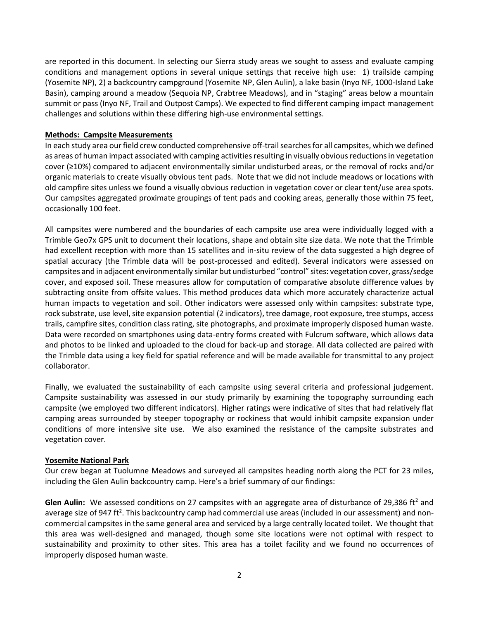are reported in this document. In selecting our Sierra study areas we sought to assess and evaluate camping conditions and management options in several unique settings that receive high use: 1) trailside camping (Yosemite NP), 2) a backcountry campground (Yosemite NP, Glen Aulin), a lake basin (Inyo NF, 1000-Island Lake Basin), camping around a meadow (Sequoia NP, Crabtree Meadows), and in "staging" areas below a mountain summit or pass (Inyo NF, Trail and Outpost Camps). We expected to find different camping impact management challenges and solutions within these differing high-use environmental settings.

### **Methods: Campsite Measurements**

In each study area our field crew conducted comprehensive off-trail searches for all campsites, which we defined as areas of human impact associated with camping activities resulting in visually obvious reductions in vegetation cover (≥10%) compared to adjacent environmentally similar undisturbed areas, or the removal of rocks and/or organic materials to create visually obvious tent pads. Note that we did not include meadows or locations with old campfire sites unless we found a visually obvious reduction in vegetation cover or clear tent/use area spots. Our campsites aggregated proximate groupings of tent pads and cooking areas, generally those within 75 feet, occasionally 100 feet.

All campsites were numbered and the boundaries of each campsite use area were individually logged with a Trimble Geo7x GPS unit to document their locations, shape and obtain site size data. We note that the Trimble had excellent reception with more than 15 satellites and in-situ review of the data suggested a high degree of spatial accuracy (the Trimble data will be post-processed and edited). Several indicators were assessed on campsites and in adjacent environmentally similar but undisturbed "control" sites: vegetation cover, grass/sedge cover, and exposed soil. These measures allow for computation of comparative absolute difference values by subtracting onsite from offsite values. This method produces data which more accurately characterize actual human impacts to vegetation and soil. Other indicators were assessed only within campsites: substrate type, rock substrate, use level, site expansion potential (2 indicators), tree damage, root exposure, tree stumps, access trails, campfire sites, condition class rating, site photographs, and proximate improperly disposed human waste. Data were recorded on smartphones using data-entry forms created with Fulcrum software, which allows data and photos to be linked and uploaded to the cloud for back-up and storage. All data collected are paired with the Trimble data using a key field for spatial reference and will be made available for transmittal to any project collaborator.

Finally, we evaluated the sustainability of each campsite using several criteria and professional judgement. Campsite sustainability was assessed in our study primarily by examining the topography surrounding each campsite (we employed two different indicators). Higher ratings were indicative of sites that had relatively flat camping areas surrounded by steeper topography or rockiness that would inhibit campsite expansion under conditions of more intensive site use. We also examined the resistance of the campsite substrates and vegetation cover.

### **Yosemite National Park**

Our crew began at Tuolumne Meadows and surveyed all campsites heading north along the PCT for 23 miles, including the Glen Aulin backcountry camp. Here's a brief summary of our findings:

**Glen Aulin:** We assessed conditions on 27 campsites with an aggregate area of disturbance of 29,386 ft<sup>2</sup> and average size of 947 ft<sup>2</sup>. This backcountry camp had commercial use areas (included in our assessment) and noncommercial campsites in the same general area and serviced by a large centrally located toilet. We thought that this area was well-designed and managed, though some site locations were not optimal with respect to sustainability and proximity to other sites. This area has a toilet facility and we found no occurrences of improperly disposed human waste.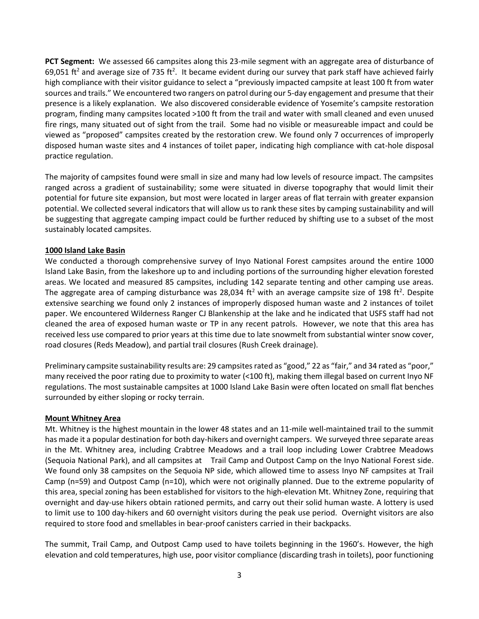**PCT Segment:** We assessed 66 campsites along this 23-mile segment with an aggregate area of disturbance of 69,051 ft<sup>2</sup> and average size of 735 ft<sup>2</sup>. It became evident during our survey that park staff have achieved fairly high compliance with their visitor guidance to select a "previously impacted campsite at least 100 ft from water sources and trails." We encountered two rangers on patrol during our 5-day engagement and presume that their presence is a likely explanation. We also discovered considerable evidence of Yosemite's campsite restoration program, finding many campsites located >100 ft from the trail and water with small cleaned and even unused fire rings, many situated out of sight from the trail. Some had no visible or measureable impact and could be viewed as "proposed" campsites created by the restoration crew. We found only 7 occurrences of improperly disposed human waste sites and 4 instances of toilet paper, indicating high compliance with cat-hole disposal practice regulation.

The majority of campsites found were small in size and many had low levels of resource impact. The campsites ranged across a gradient of sustainability; some were situated in diverse topography that would limit their potential for future site expansion, but most were located in larger areas of flat terrain with greater expansion potential. We collected several indicators that will allow us to rank these sites by camping sustainability and will be suggesting that aggregate camping impact could be further reduced by shifting use to a subset of the most sustainably located campsites.

### **1000 Island Lake Basin**

We conducted a thorough comprehensive survey of Inyo National Forest campsites around the entire 1000 Island Lake Basin, from the lakeshore up to and including portions of the surrounding higher elevation forested areas. We located and measured 85 campsites, including 142 separate tenting and other camping use areas. The aggregate area of camping disturbance was 28,034 ft<sup>2</sup> with an average campsite size of 198 ft<sup>2</sup>. Despite extensive searching we found only 2 instances of improperly disposed human waste and 2 instances of toilet paper. We encountered Wilderness Ranger CJ Blankenship at the lake and he indicated that USFS staff had not cleaned the area of exposed human waste or TP in any recent patrols. However, we note that this area has received less use compared to prior years at this time due to late snowmelt from substantial winter snow cover, road closures (Reds Meadow), and partial trail closures (Rush Creek drainage).

Preliminary campsite sustainability results are: 29 campsites rated as "good," 22 as "fair," and 34 rated as "poor," many received the poor rating due to proximity to water (<100 ft), making them illegal based on current Inyo NF regulations. The most sustainable campsites at 1000 Island Lake Basin were often located on small flat benches surrounded by either sloping or rocky terrain.

### **Mount Whitney Area**

Mt. Whitney is the highest mountain in the lower 48 states and an 11-mile well-maintained trail to the summit has made it a popular destination for both day-hikers and overnight campers. We surveyed three separate areas in the Mt. Whitney area, including Crabtree Meadows and a trail loop including Lower Crabtree Meadows (Sequoia National Park), and all campsites at Trail Camp and Outpost Camp on the Inyo National Forest side. We found only 38 campsites on the Sequoia NP side, which allowed time to assess Inyo NF campsites at Trail Camp (n=59) and Outpost Camp (n=10), which were not originally planned. Due to the extreme popularity of this area, special zoning has been established for visitors to the high-elevation Mt. Whitney Zone, requiring that overnight and day-use hikers obtain rationed permits, and carry out their solid human waste. A lottery is used to limit use to 100 day-hikers and 60 overnight visitors during the peak use period. Overnight visitors are also required to store food and smellables in bear-proof canisters carried in their backpacks.

The summit, Trail Camp, and Outpost Camp used to have toilets beginning in the 1960's. However, the high elevation and cold temperatures, high use, poor visitor compliance (discarding trash in toilets), poor functioning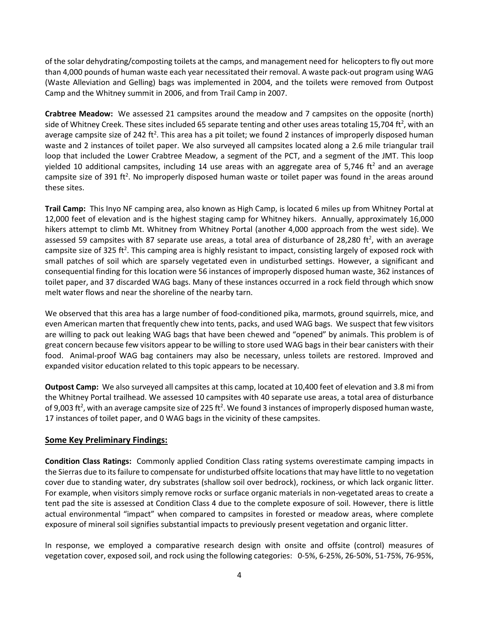of the solar dehydrating/composting toilets at the camps, and management need for helicopters to fly out more than 4,000 pounds of human waste each year necessitated their removal. A waste pack-out program using WAG (Waste Alleviation and Gelling) bags was implemented in 2004, and the toilets were removed from Outpost Camp and the Whitney summit in 2006, and from Trail Camp in 2007.

**Crabtree Meadow:** We assessed 21 campsites around the meadow and 7 campsites on the opposite (north) side of Whitney Creek. These sites included 65 separate tenting and other uses areas totaling 15,704 ft<sup>2</sup>, with an average campsite size of 242 ft<sup>2</sup>. This area has a pit toilet; we found 2 instances of improperly disposed human waste and 2 instances of toilet paper. We also surveyed all campsites located along a 2.6 mile triangular trail loop that included the Lower Crabtree Meadow, a segment of the PCT, and a segment of the JMT. This loop yielded 10 additional campsites, including 14 use areas with an aggregate area of 5,746 ft<sup>2</sup> and an average campsite size of 391 ft<sup>2</sup>. No improperly disposed human waste or toilet paper was found in the areas around these sites.

**Trail Camp:** This Inyo NF camping area, also known as High Camp, is located 6 miles up from Whitney Portal at 12,000 feet of elevation and is the highest staging camp for Whitney hikers. Annually, approximately 16,000 hikers attempt to climb Mt. Whitney from Whitney Portal (another 4,000 approach from the west side). We assessed 59 campsites with 87 separate use areas, a total area of disturbance of 28,280 ft<sup>2</sup>, with an average campsite size of 325 ft<sup>2</sup>. This camping area is highly resistant to impact, consisting largely of exposed rock with small patches of soil which are sparsely vegetated even in undisturbed settings. However, a significant and consequential finding for this location were 56 instances of improperly disposed human waste, 362 instances of toilet paper, and 37 discarded WAG bags. Many of these instances occurred in a rock field through which snow melt water flows and near the shoreline of the nearby tarn.

We observed that this area has a large number of food-conditioned pika, marmots, ground squirrels, mice, and even American marten that frequently chew into tents, packs, and used WAG bags. We suspect that few visitors are willing to pack out leaking WAG bags that have been chewed and "opened" by animals. This problem is of great concern because few visitors appear to be willing to store used WAG bags in their bear canisters with their food. Animal-proof WAG bag containers may also be necessary, unless toilets are restored. Improved and expanded visitor education related to this topic appears to be necessary.

**Outpost Camp:** We also surveyed all campsites at this camp, located at 10,400 feet of elevation and 3.8 mi from the Whitney Portal trailhead. We assessed 10 campsites with 40 separate use areas, a total area of disturbance of 9,003 ft<sup>2</sup>, with an average campsite size of 225 ft<sup>2</sup>. We found 3 instances of improperly disposed human waste, 17 instances of toilet paper, and 0 WAG bags in the vicinity of these campsites.

# **Some Key Preliminary Findings:**

**Condition Class Ratings:** Commonly applied Condition Class rating systems overestimate camping impacts in the Sierras due to its failure to compensate for undisturbed offsite locationsthat may have little to no vegetation cover due to standing water, dry substrates (shallow soil over bedrock), rockiness, or which lack organic litter. For example, when visitors simply remove rocks or surface organic materials in non-vegetated areas to create a tent pad the site is assessed at Condition Class 4 due to the complete exposure of soil. However, there is little actual environmental "impact" when compared to campsites in forested or meadow areas, where complete exposure of mineral soil signifies substantial impacts to previously present vegetation and organic litter.

In response, we employed a comparative research design with onsite and offsite (control) measures of vegetation cover, exposed soil, and rock using the following categories: 0-5%, 6-25%, 26-50%, 51-75%, 76-95%,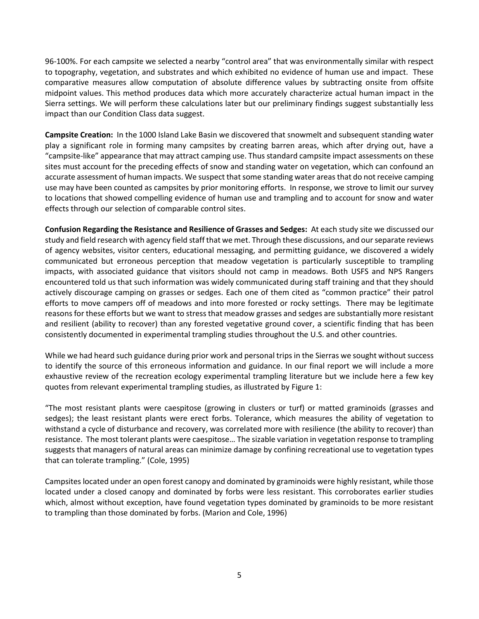96-100%. For each campsite we selected a nearby "control area" that was environmentally similar with respect to topography, vegetation, and substrates and which exhibited no evidence of human use and impact. These comparative measures allow computation of absolute difference values by subtracting onsite from offsite midpoint values. This method produces data which more accurately characterize actual human impact in the Sierra settings. We will perform these calculations later but our preliminary findings suggest substantially less impact than our Condition Class data suggest.

**Campsite Creation:** In the 1000 Island Lake Basin we discovered that snowmelt and subsequent standing water play a significant role in forming many campsites by creating barren areas, which after drying out, have a "campsite-like" appearance that may attract camping use. Thus standard campsite impact assessments on these sites must account for the preceding effects of snow and standing water on vegetation, which can confound an accurate assessment of human impacts. We suspect that some standing water areas that do not receive camping use may have been counted as campsites by prior monitoring efforts. In response, we strove to limit our survey to locations that showed compelling evidence of human use and trampling and to account for snow and water effects through our selection of comparable control sites.

**Confusion Regarding the Resistance and Resilience of Grasses and Sedges:** At each study site we discussed our study and field research with agency field staff that we met. Through these discussions, and ourseparate reviews of agency websites, visitor centers, educational messaging, and permitting guidance, we discovered a widely communicated but erroneous perception that meadow vegetation is particularly susceptible to trampling impacts, with associated guidance that visitors should not camp in meadows. Both USFS and NPS Rangers encountered told us that such information was widely communicated during staff training and that they should actively discourage camping on grasses or sedges. Each one of them cited as "common practice" their patrol efforts to move campers off of meadows and into more forested or rocky settings. There may be legitimate reasons for these efforts but we want to stress that meadow grasses and sedges are substantially more resistant and resilient (ability to recover) than any forested vegetative ground cover, a scientific finding that has been consistently documented in experimental trampling studies throughout the U.S. and other countries.

While we had heard such guidance during prior work and personal trips in the Sierras we sought without success to identify the source of this erroneous information and guidance. In our final report we will include a more exhaustive review of the recreation ecology experimental trampling literature but we include here a few key quotes from relevant experimental trampling studies, as illustrated by Figure 1:

"The most resistant plants were caespitose (growing in clusters or turf) or matted graminoids (grasses and sedges); the least resistant plants were erect forbs. Tolerance, which measures the ability of vegetation to withstand a cycle of disturbance and recovery, was correlated more with resilience (the ability to recover) than resistance. The most tolerant plants were caespitose… The sizable variation in vegetation response to trampling suggests that managers of natural areas can minimize damage by confining recreational use to vegetation types that can tolerate trampling." (Cole, 1995)

Campsites located under an open forest canopy and dominated by graminoids were highly resistant, while those located under a closed canopy and dominated by forbs were less resistant. This corroborates earlier studies which, almost without exception, have found vegetation types dominated by graminoids to be more resistant to trampling than those dominated by forbs. (Marion and Cole, 1996)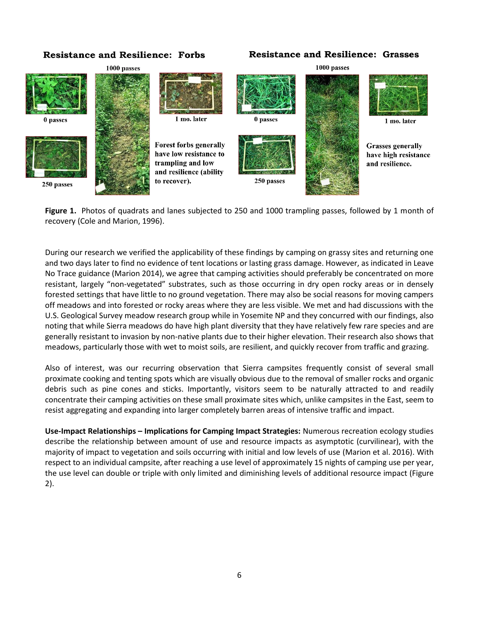# **Resistance and Resilience: Forbs**

## **Resistance and Resilience: Grasses**



**Figure 1.** Photos of quadrats and lanes subjected to 250 and 1000 trampling passes, followed by 1 month of recovery (Cole and Marion, 1996).

During our research we verified the applicability of these findings by camping on grassy sites and returning one and two days later to find no evidence of tent locations or lasting grass damage. However, as indicated in Leave No Trace guidance (Marion 2014), we agree that camping activities should preferably be concentrated on more resistant, largely "non-vegetated" substrates, such as those occurring in dry open rocky areas or in densely forested settings that have little to no ground vegetation. There may also be social reasons for moving campers off meadows and into forested or rocky areas where they are less visible. We met and had discussions with the U.S. Geological Survey meadow research group while in Yosemite NP and they concurred with our findings, also noting that while Sierra meadows do have high plant diversity that they have relatively few rare species and are generally resistant to invasion by non-native plants due to their higher elevation. Their research also shows that meadows, particularly those with wet to moist soils, are resilient, and quickly recover from traffic and grazing.

Also of interest, was our recurring observation that Sierra campsites frequently consist of several small proximate cooking and tenting spots which are visually obvious due to the removal of smaller rocks and organic debris such as pine cones and sticks. Importantly, visitors seem to be naturally attracted to and readily concentrate their camping activities on these small proximate sites which, unlike campsites in the East, seem to resist aggregating and expanding into larger completely barren areas of intensive traffic and impact.

**Use-Impact Relationships – Implications for Camping Impact Strategies:** Numerous recreation ecology studies describe the relationship between amount of use and resource impacts as asymptotic (curvilinear), with the majority of impact to vegetation and soils occurring with initial and low levels of use (Marion et al. 2016). With respect to an individual campsite, after reaching a use level of approximately 15 nights of camping use per year, the use level can double or triple with only limited and diminishing levels of additional resource impact (Figure 2).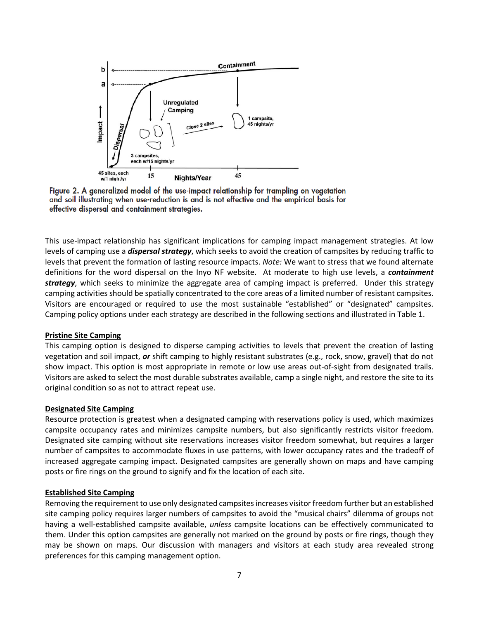

Figure 2. A generalized model of the use-impact relationship for trampling on vegetation and soil illustrating when use-reduction is and is not effective and the empirical basis for effective dispersal and containment strategies.

This use-impact relationship has significant implications for camping impact management strategies. At low levels of camping use a *dispersal strategy*, which seeks to avoid the creation of campsites by reducing traffic to levels that prevent the formation of lasting resource impacts. *Note:* We want to stress that we found alternate definitions for the word dispersal on the Inyo NF website. At moderate to high use levels, a *containment strategy*, which seeks to minimize the aggregate area of camping impact is preferred. Under this strategy camping activities should be spatially concentrated to the core areas of a limited number of resistant campsites. Visitors are encouraged or required to use the most sustainable "established" or "designated" campsites. Camping policy options under each strategy are described in the following sections and illustrated in Table 1.

### **Pristine Site Camping**

This camping option is designed to disperse camping activities to levels that prevent the creation of lasting vegetation and soil impact, *or* shift camping to highly resistant substrates (e.g., rock, snow, gravel) that do not show impact. This option is most appropriate in remote or low use areas out-of-sight from designated trails. Visitors are asked to select the most durable substrates available, camp a single night, and restore the site to its original condition so as not to attract repeat use.

#### **Designated Site Camping**

Resource protection is greatest when a designated camping with reservations policy is used, which maximizes campsite occupancy rates and minimizes campsite numbers, but also significantly restricts visitor freedom. Designated site camping without site reservations increases visitor freedom somewhat, but requires a larger number of campsites to accommodate fluxes in use patterns, with lower occupancy rates and the tradeoff of increased aggregate camping impact. Designated campsites are generally shown on maps and have camping posts or fire rings on the ground to signify and fix the location of each site.

#### **Established Site Camping**

Removing the requirement to use only designated campsites increases visitor freedom further but an established site camping policy requires larger numbers of campsites to avoid the "musical chairs" dilemma of groups not having a well-established campsite available, *unless* campsite locations can be effectively communicated to them. Under this option campsites are generally not marked on the ground by posts or fire rings, though they may be shown on maps. Our discussion with managers and visitors at each study area revealed strong preferences for this camping management option.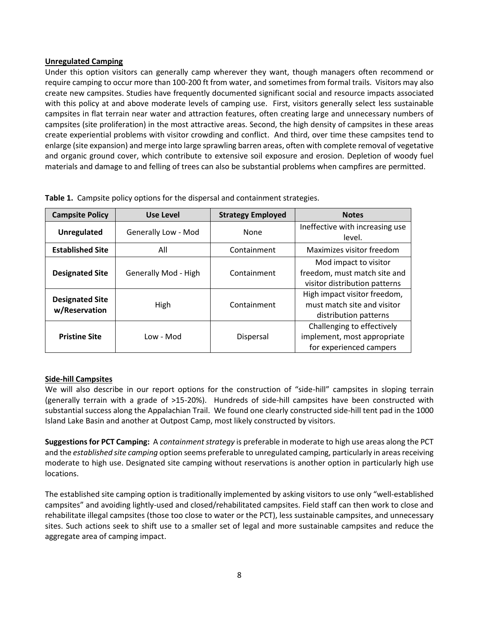### **Unregulated Camping**

Under this option visitors can generally camp wherever they want, though managers often recommend or require camping to occur more than 100-200 ft from water, and sometimes from formal trails. Visitors may also create new campsites. Studies have frequently documented significant social and resource impacts associated with this policy at and above moderate levels of camping use. First, visitors generally select less sustainable campsites in flat terrain near water and attraction features, often creating large and unnecessary numbers of campsites (site proliferation) in the most attractive areas. Second, the high density of campsites in these areas create experiential problems with visitor crowding and conflict. And third, over time these campsites tend to enlarge (site expansion) and merge into large sprawling barren areas, often with complete removal of vegetative and organic ground cover, which contribute to extensive soil exposure and erosion. Depletion of woody fuel materials and damage to and felling of trees can also be substantial problems when campfires are permitted.

| <b>Campsite Policy</b>                  | <b>Use Level</b>     | <b>Strategy Employed</b> | <b>Notes</b>                                                                           |
|-----------------------------------------|----------------------|--------------------------|----------------------------------------------------------------------------------------|
| <b>Unregulated</b>                      | Generally Low - Mod  | None                     | Ineffective with increasing use<br>level.                                              |
| <b>Established Site</b>                 | All                  | Containment              | Maximizes visitor freedom                                                              |
| <b>Designated Site</b>                  | Generally Mod - High | Containment              | Mod impact to visitor<br>freedom, must match site and<br>visitor distribution patterns |
| <b>Designated Site</b><br>w/Reservation | High                 | Containment              | High impact visitor freedom,<br>must match site and visitor<br>distribution patterns   |
| <b>Pristine Site</b>                    | Low - Mod            | Dispersal                | Challenging to effectively<br>implement, most appropriate<br>for experienced campers   |

**Table 1.** Campsite policy options for the dispersal and containment strategies.

# **Side-hill Campsites**

We will also describe in our report options for the construction of "side-hill" campsites in sloping terrain (generally terrain with a grade of >15-20%). Hundreds of side-hill campsites have been constructed with substantial success along the Appalachian Trail. We found one clearly constructed side-hill tent pad in the 1000 Island Lake Basin and another at Outpost Camp, most likely constructed by visitors.

**Suggestions for PCT Camping:** A *containment strategy* is preferable in moderate to high use areas along the PCT and the *established site camping* option seems preferable to unregulated camping, particularly in areas receiving moderate to high use. Designated site camping without reservations is another option in particularly high use locations.

The established site camping option is traditionally implemented by asking visitors to use only "well-established campsites" and avoiding lightly-used and closed/rehabilitated campsites. Field staff can then work to close and rehabilitate illegal campsites (those too close to water or the PCT), less sustainable campsites, and unnecessary sites. Such actions seek to shift use to a smaller set of legal and more sustainable campsites and reduce the aggregate area of camping impact.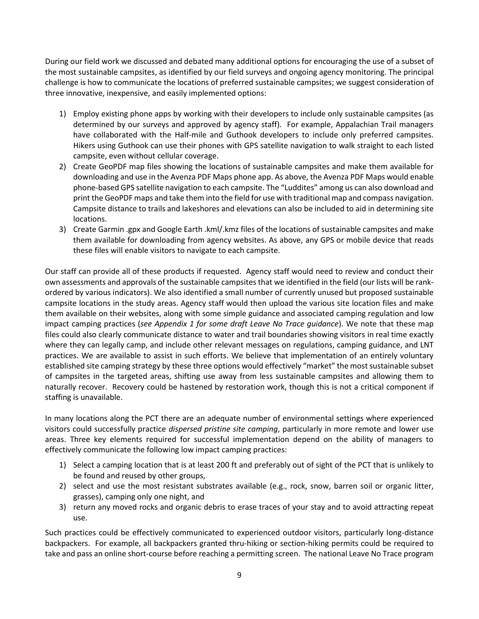During our field work we discussed and debated many additional options for encouraging the use of a subset of the most sustainable campsites, as identified by our field surveys and ongoing agency monitoring. The principal challenge is how to communicate the locations of preferred sustainable campsites; we suggest consideration of three innovative, inexpensive, and easily implemented options:

- 1) Employ existing phone apps by working with their developers to include only sustainable campsites (as determined by our surveys and approved by agency staff). For example, Appalachian Trail managers have collaborated with the Half-mile and Guthook developers to include only preferred campsites. Hikers using Guthook can use their phones with GPS satellite navigation to walk straight to each listed campsite, even without cellular coverage.
- 2) Create GeoPDF map files showing the locations of sustainable campsites and make them available for downloading and use in the Avenza PDF Maps phone app. As above, the Avenza PDF Maps would enable phone-based GPS satellite navigation to each campsite. The "Luddites" among us can also download and print the GeoPDF maps and take them into the field for use with traditional map and compass navigation. Campsite distance to trails and lakeshores and elevations can also be included to aid in determining site locations.
- 3) Create Garmin .gpx and Google Earth .kml/.kmz files of the locations of sustainable campsites and make them available for downloading from agency websites. As above, any GPS or mobile device that reads these files will enable visitors to navigate to each campsite.

Our staff can provide all of these products if requested. Agency staff would need to review and conduct their own assessments and approvals of the sustainable campsites that we identified in the field (our lists will be rankordered by various indicators). We also identified a small number of currently unused but proposed sustainable campsite locations in the study areas. Agency staff would then upload the various site location files and make them available on their websites, along with some simple guidance and associated camping regulation and low impact camping practices (*see Appendix 1 for some draft Leave No Trace guidance*). We note that these map files could also clearly communicate distance to water and trail boundaries showing visitors in real time exactly where they can legally camp, and include other relevant messages on regulations, camping guidance, and LNT practices. We are available to assist in such efforts. We believe that implementation of an entirely voluntary established site camping strategy by these three options would effectively "market" the most sustainable subset of campsites in the targeted areas, shifting use away from less sustainable campsites and allowing them to naturally recover. Recovery could be hastened by restoration work, though this is not a critical component if staffing is unavailable.

In many locations along the PCT there are an adequate number of environmental settings where experienced visitors could successfully practice *dispersed pristine site camping*, particularly in more remote and lower use areas. Three key elements required for successful implementation depend on the ability of managers to effectively communicate the following low impact camping practices:

- 1) Select a camping location that is at least 200 ft and preferably out of sight of the PCT that is unlikely to be found and reused by other groups,
- 2) select and use the most resistant substrates available (e.g., rock, snow, barren soil or organic litter, grasses), camping only one night, and
- 3) return any moved rocks and organic debris to erase traces of your stay and to avoid attracting repeat use.

Such practices could be effectively communicated to experienced outdoor visitors, particularly long-distance backpackers. For example, all backpackers granted thru-hiking or section-hiking permits could be required to take and pass an online short-course before reaching a permitting screen. The national Leave No Trace program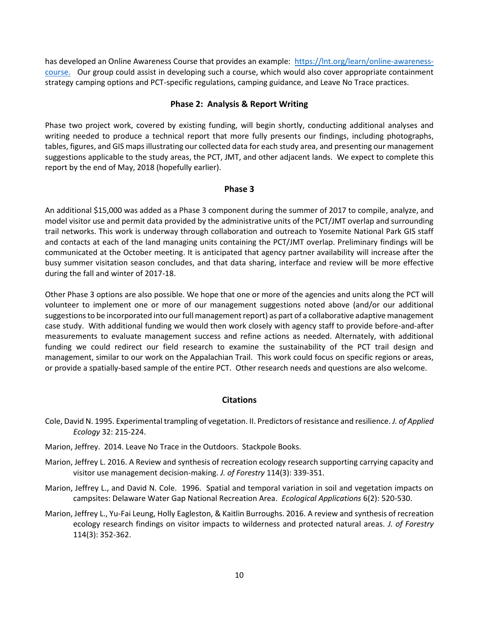has developed an Online Awareness Course that provides an example: [https://lnt.org/learn/online-awareness](https://lnt.org/learn/online-awareness-course)[course.](https://lnt.org/learn/online-awareness-course) Our group could assist in developing such a course, which would also cover appropriate containment strategy camping options and PCT-specific regulations, camping guidance, and Leave No Trace practices.

### **Phase 2: Analysis & Report Writing**

Phase two project work, covered by existing funding, will begin shortly, conducting additional analyses and writing needed to produce a technical report that more fully presents our findings, including photographs, tables, figures, and GIS maps illustrating our collected data for each study area, and presenting our management suggestions applicable to the study areas, the PCT, JMT, and other adjacent lands. We expect to complete this report by the end of May, 2018 (hopefully earlier).

### **Phase 3**

An additional \$15,000 was added as a Phase 3 component during the summer of 2017 to compile, analyze, and model visitor use and permit data provided by the administrative units of the PCT/JMT overlap and surrounding trail networks. This work is underway through collaboration and outreach to Yosemite National Park GIS staff and contacts at each of the land managing units containing the PCT/JMT overlap. Preliminary findings will be communicated at the October meeting. It is anticipated that agency partner availability will increase after the busy summer visitation season concludes, and that data sharing, interface and review will be more effective during the fall and winter of 2017-18.

Other Phase 3 options are also possible. We hope that one or more of the agencies and units along the PCT will volunteer to implement one or more of our management suggestions noted above (and/or our additional suggestions to be incorporated into our full management report) as part of a collaborative adaptive management case study. With additional funding we would then work closely with agency staff to provide before-and-after measurements to evaluate management success and refine actions as needed. Alternately, with additional funding we could redirect our field research to examine the sustainability of the PCT trail design and management, similar to our work on the Appalachian Trail. This work could focus on specific regions or areas, or provide a spatially-based sample of the entire PCT. Other research needs and questions are also welcome.

### **Citations**

- Cole, David N. 1995. Experimental trampling of vegetation. II. Predictors of resistance and resilience. *J. of Applied Ecology* 32: 215-224.
- Marion, Jeffrey. 2014. Leave No Trace in the Outdoors. Stackpole Books.
- Marion, Jeffrey L. 2016. A Review and synthesis of recreation ecology research supporting carrying capacity and visitor use management decision-making. *J. of Forestry* 114(3): 339-351.
- Marion, Jeffrey L., and David N. Cole. 1996. Spatial and temporal variation in soil and vegetation impacts on campsites: Delaware Water Gap National Recreation Area. *Ecological Applications* 6(2): 520-530.
- Marion, Jeffrey L., Yu-Fai Leung, Holly Eagleston, & Kaitlin Burroughs. 2016. A review and synthesis of recreation ecology research findings on visitor impacts to wilderness and protected natural areas. *J. of Forestry* 114(3): 352-362.